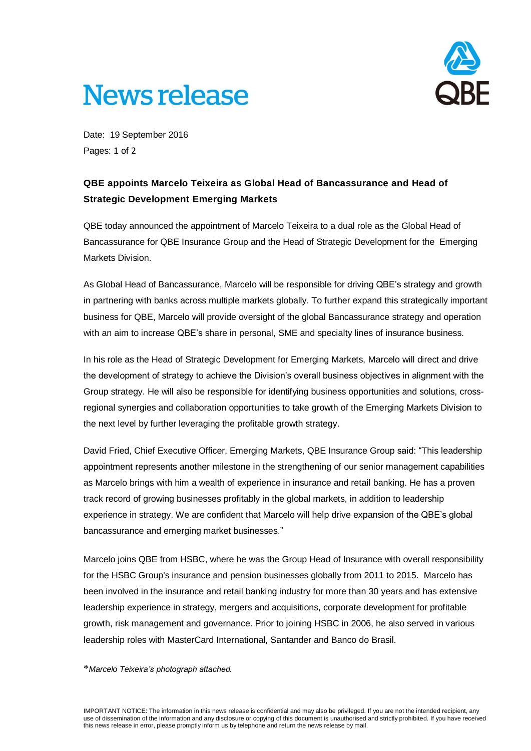# **News release**



Date: 19 September 2016 Pages: 1 of 2

### **QBE appoints Marcelo Teixeira as Global Head of Bancassurance and Head of Strategic Development Emerging Markets**

QBE today announced the appointment of Marcelo Teixeira to a dual role as the Global Head of Bancassurance for QBE Insurance Group and the Head of Strategic Development for the Emerging Markets Division.

As Global Head of Bancassurance, Marcelo will be responsible for driving QBE's strategy and growth in partnering with banks across multiple markets globally. To further expand this strategically important business for QBE, Marcelo will provide oversight of the global Bancassurance strategy and operation with an aim to increase QBE's share in personal, SME and specialty lines of insurance business.

In his role as the Head of Strategic Development for Emerging Markets, Marcelo will direct and drive the development of strategy to achieve the Division's overall business objectives in alignment with the Group strategy. He will also be responsible for identifying business opportunities and solutions, crossregional synergies and collaboration opportunities to take growth of the Emerging Markets Division to the next level by further leveraging the profitable growth strategy.

David Fried, Chief Executive Officer, Emerging Markets, QBE Insurance Group said: "This leadership appointment represents another milestone in the strengthening of our senior management capabilities as Marcelo brings with him a wealth of experience in insurance and retail banking. He has a proven track record of growing businesses profitably in the global markets, in addition to leadership experience in strategy. We are confident that Marcelo will help drive expansion of the QBE's global bancassurance and emerging market businesses."

Marcelo joins QBE from HSBC, where he was the Group Head of Insurance with overall responsibility for the HSBC Group's insurance and pension businesses globally from 2011 to 2015. Marcelo has been involved in the insurance and retail banking industry for more than 30 years and has extensive leadership experience in strategy, mergers and acquisitions, corporate development for profitable growth, risk management and governance. Prior to joining HSBC in 2006, he also served in various leadership roles with MasterCard International, Santander and Banco do Brasil.

#### \**Marcelo Teixeira's photograph attached.*